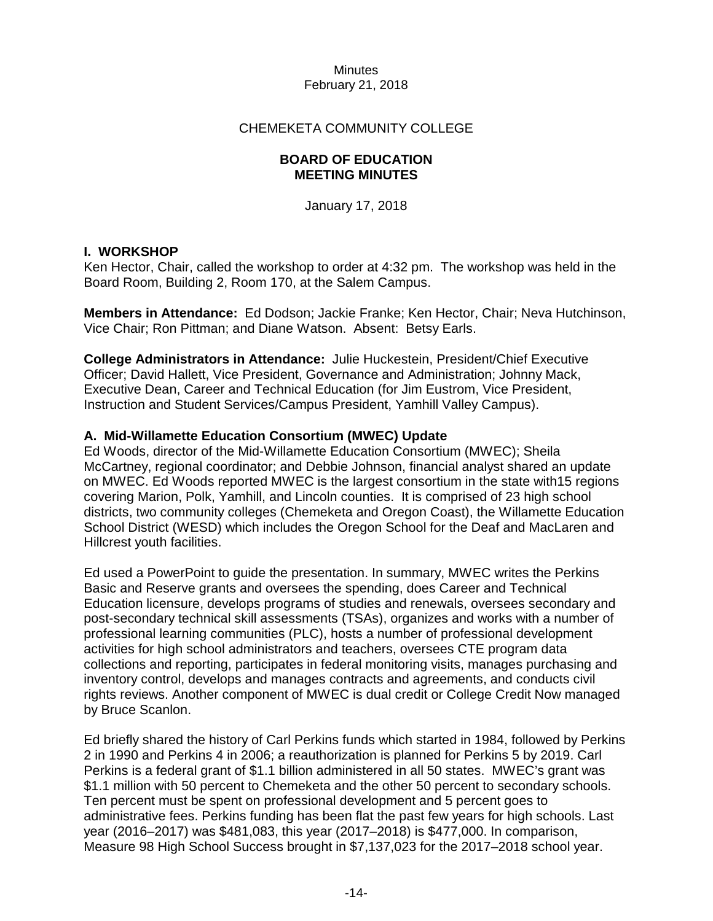## CHEMEKETA COMMUNITY COLLEGE

## **BOARD OF EDUCATION MEETING MINUTES**

January 17, 2018

## **I. WORKSHOP**

Ken Hector, Chair, called the workshop to order at 4:32 pm. The workshop was held in the Board Room, Building 2, Room 170, at the Salem Campus.

**Members in Attendance:** Ed Dodson; Jackie Franke; Ken Hector, Chair; Neva Hutchinson, Vice Chair; Ron Pittman; and Diane Watson. Absent: Betsy Earls.

**College Administrators in Attendance:** Julie Huckestein, President/Chief Executive Officer; David Hallett, Vice President, Governance and Administration; Johnny Mack, Executive Dean, Career and Technical Education (for Jim Eustrom, Vice President, Instruction and Student Services/Campus President, Yamhill Valley Campus).

## **A. Mid-Willamette Education Consortium (MWEC) Update**

Ed Woods, director of the Mid-Willamette Education Consortium (MWEC); Sheila McCartney, regional coordinator; and Debbie Johnson, financial analyst shared an update on MWEC. Ed Woods reported MWEC is the largest consortium in the state with15 regions covering Marion, Polk, Yamhill, and Lincoln counties. It is comprised of 23 high school districts, two community colleges (Chemeketa and Oregon Coast), the Willamette Education School District (WESD) which includes the Oregon School for the Deaf and MacLaren and Hillcrest youth facilities.

Ed used a PowerPoint to guide the presentation. In summary, MWEC writes the Perkins Basic and Reserve grants and oversees the spending, does Career and Technical Education licensure, develops programs of studies and renewals, oversees secondary and post-secondary technical skill assessments (TSAs), organizes and works with a number of professional learning communities (PLC), hosts a number of professional development activities for high school administrators and teachers, oversees CTE program data collections and reporting, participates in federal monitoring visits, manages purchasing and inventory control, develops and manages contracts and agreements, and conducts civil rights reviews. Another component of MWEC is dual credit or College Credit Now managed by Bruce Scanlon.

Ed briefly shared the history of Carl Perkins funds which started in 1984, followed by Perkins 2 in 1990 and Perkins 4 in 2006; a reauthorization is planned for Perkins 5 by 2019. Carl Perkins is a federal grant of \$1.1 billion administered in all 50 states. MWEC's grant was \$1.1 million with 50 percent to Chemeketa and the other 50 percent to secondary schools. Ten percent must be spent on professional development and 5 percent goes to administrative fees. Perkins funding has been flat the past few years for high schools. Last year (2016–2017) was \$481,083, this year (2017–2018) is \$477,000. In comparison, Measure 98 High School Success brought in \$7,137,023 for the 2017–2018 school year.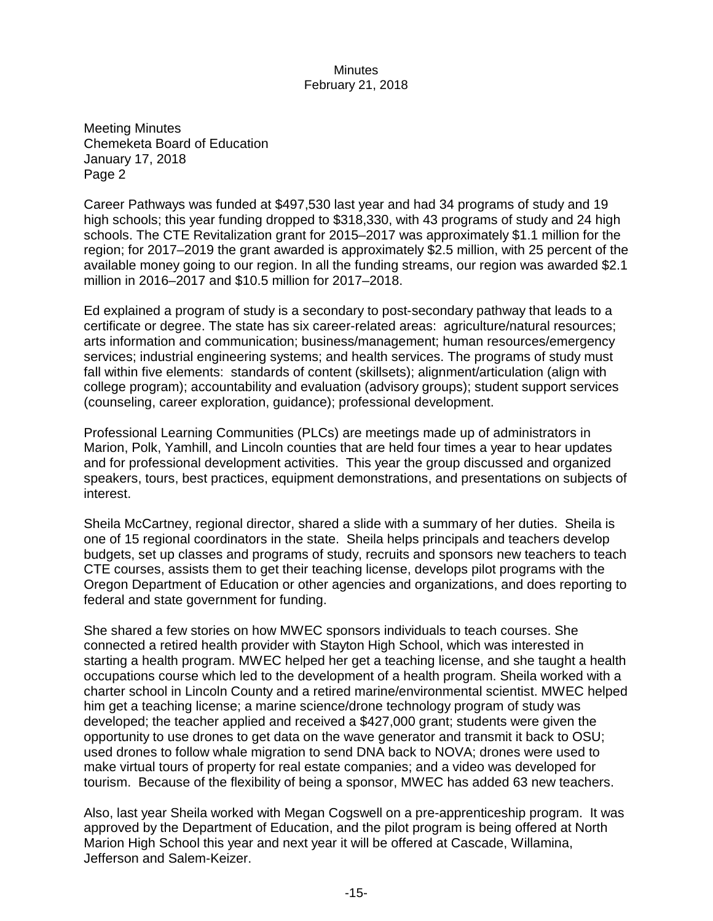Meeting Minutes Chemeketa Board of Education January 17, 2018 Page 2

Career Pathways was funded at \$497,530 last year and had 34 programs of study and 19 high schools; this year funding dropped to \$318,330, with 43 programs of study and 24 high schools. The CTE Revitalization grant for 2015–2017 was approximately \$1.1 million for the region; for 2017–2019 the grant awarded is approximately \$2.5 million, with 25 percent of the available money going to our region. In all the funding streams, our region was awarded \$2.1 million in 2016–2017 and \$10.5 million for 2017–2018.

Ed explained a program of study is a secondary to post-secondary pathway that leads to a certificate or degree. The state has six career-related areas: agriculture/natural resources; arts information and communication; business/management; human resources/emergency services; industrial engineering systems; and health services. The programs of study must fall within five elements: standards of content (skillsets); alignment/articulation (align with college program); accountability and evaluation (advisory groups); student support services (counseling, career exploration, guidance); professional development.

Professional Learning Communities (PLCs) are meetings made up of administrators in Marion, Polk, Yamhill, and Lincoln counties that are held four times a year to hear updates and for professional development activities. This year the group discussed and organized speakers, tours, best practices, equipment demonstrations, and presentations on subjects of interest.

Sheila McCartney, regional director, shared a slide with a summary of her duties. Sheila is one of 15 regional coordinators in the state. Sheila helps principals and teachers develop budgets, set up classes and programs of study, recruits and sponsors new teachers to teach CTE courses, assists them to get their teaching license, develops pilot programs with the Oregon Department of Education or other agencies and organizations, and does reporting to federal and state government for funding.

She shared a few stories on how MWEC sponsors individuals to teach courses. She connected a retired health provider with Stayton High School, which was interested in starting a health program. MWEC helped her get a teaching license, and she taught a health occupations course which led to the development of a health program. Sheila worked with a charter school in Lincoln County and a retired marine/environmental scientist. MWEC helped him get a teaching license; a marine science/drone technology program of study was developed; the teacher applied and received a \$427,000 grant; students were given the opportunity to use drones to get data on the wave generator and transmit it back to OSU; used drones to follow whale migration to send DNA back to NOVA; drones were used to make virtual tours of property for real estate companies; and a video was developed for tourism. Because of the flexibility of being a sponsor, MWEC has added 63 new teachers.

Also, last year Sheila worked with Megan Cogswell on a pre-apprenticeship program. It was approved by the Department of Education, and the pilot program is being offered at North Marion High School this year and next year it will be offered at Cascade, Willamina, Jefferson and Salem-Keizer.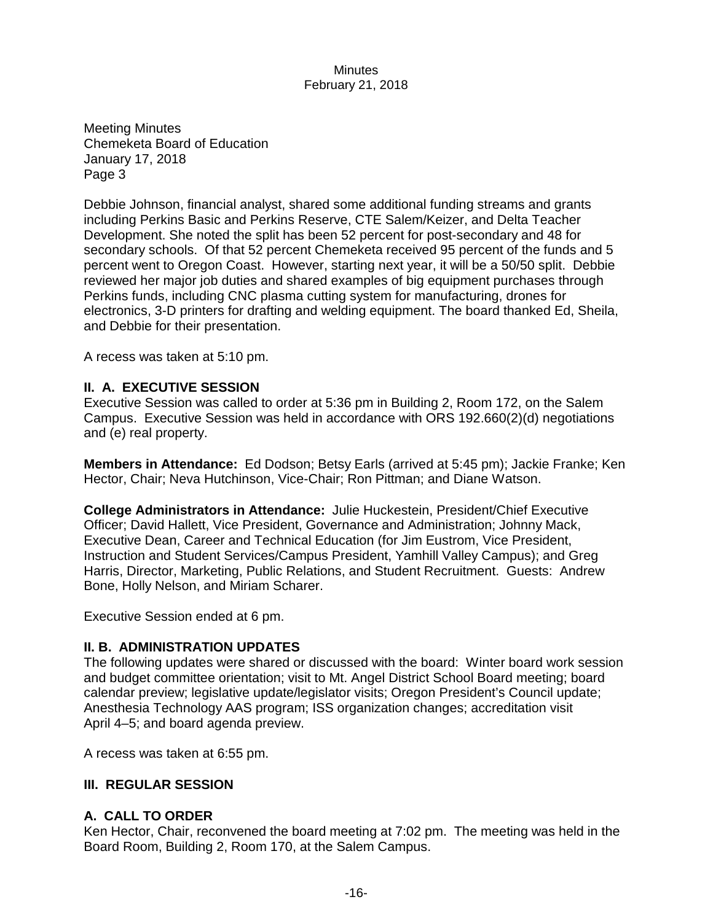Meeting Minutes Chemeketa Board of Education January 17, 2018 Page 3

Debbie Johnson, financial analyst, shared some additional funding streams and grants including Perkins Basic and Perkins Reserve, CTE Salem/Keizer, and Delta Teacher Development. She noted the split has been 52 percent for post-secondary and 48 for secondary schools. Of that 52 percent Chemeketa received 95 percent of the funds and 5 percent went to Oregon Coast. However, starting next year, it will be a 50/50 split. Debbie reviewed her major job duties and shared examples of big equipment purchases through Perkins funds, including CNC plasma cutting system for manufacturing, drones for electronics, 3-D printers for drafting and welding equipment. The board thanked Ed, Sheila, and Debbie for their presentation.

A recess was taken at 5:10 pm.

## **II. A. EXECUTIVE SESSION**

Executive Session was called to order at 5:36 pm in Building 2, Room 172, on the Salem Campus. Executive Session was held in accordance with ORS 192.660(2)(d) negotiations and (e) real property.

**Members in Attendance:** Ed Dodson; Betsy Earls (arrived at 5:45 pm); Jackie Franke; Ken Hector, Chair; Neva Hutchinson, Vice-Chair; Ron Pittman; and Diane Watson.

**College Administrators in Attendance:** Julie Huckestein, President/Chief Executive Officer; David Hallett, Vice President, Governance and Administration; Johnny Mack, Executive Dean, Career and Technical Education (for Jim Eustrom, Vice President, Instruction and Student Services/Campus President, Yamhill Valley Campus); and Greg Harris, Director, Marketing, Public Relations, and Student Recruitment. Guests: Andrew Bone, Holly Nelson, and Miriam Scharer.

Executive Session ended at 6 pm.

## **II. B. ADMINISTRATION UPDATES**

The following updates were shared or discussed with the board: Winter board work session and budget committee orientation; visit to Mt. Angel District School Board meeting; board calendar preview; legislative update/legislator visits; Oregon President's Council update; Anesthesia Technology AAS program; ISS organization changes; accreditation visit April 4–5; and board agenda preview.

A recess was taken at 6:55 pm.

## **III. REGULAR SESSION**

## **A. CALL TO ORDER**

Ken Hector, Chair, reconvened the board meeting at 7:02 pm. The meeting was held in the Board Room, Building 2, Room 170, at the Salem Campus.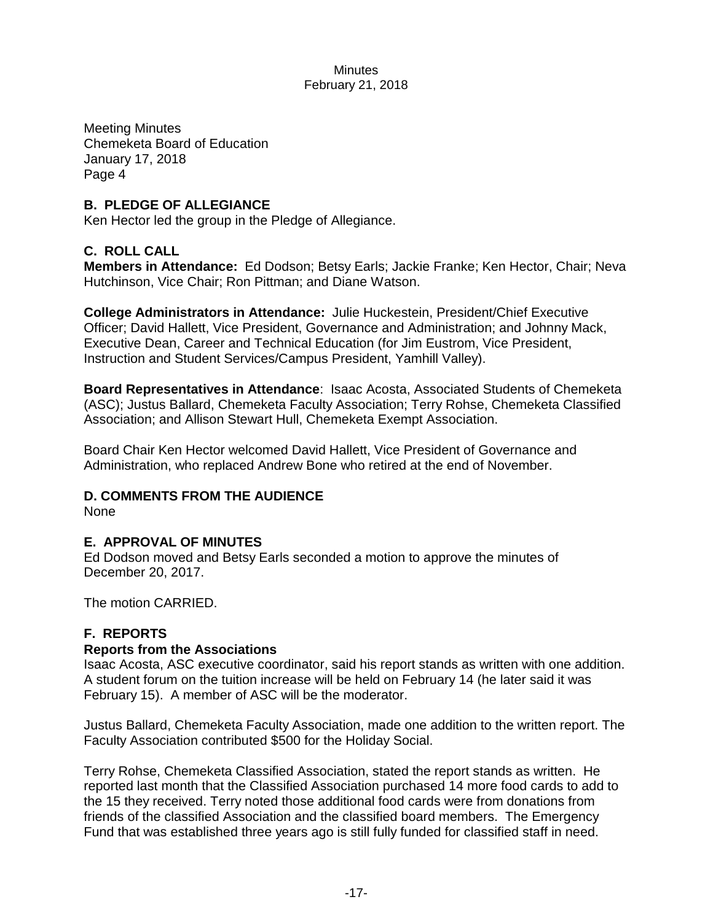Meeting Minutes Chemeketa Board of Education January 17, 2018 Page 4

# **B. PLEDGE OF ALLEGIANCE**

Ken Hector led the group in the Pledge of Allegiance.

# **C. ROLL CALL**

**Members in Attendance:** Ed Dodson; Betsy Earls; Jackie Franke; Ken Hector, Chair; Neva Hutchinson, Vice Chair; Ron Pittman; and Diane Watson.

**College Administrators in Attendance:** Julie Huckestein, President/Chief Executive Officer; David Hallett, Vice President, Governance and Administration; and Johnny Mack, Executive Dean, Career and Technical Education (for Jim Eustrom, Vice President, Instruction and Student Services/Campus President, Yamhill Valley).

**Board Representatives in Attendance**: Isaac Acosta, Associated Students of Chemeketa (ASC); Justus Ballard, Chemeketa Faculty Association; Terry Rohse, Chemeketa Classified Association; and Allison Stewart Hull, Chemeketa Exempt Association.

Board Chair Ken Hector welcomed David Hallett, Vice President of Governance and Administration, who replaced Andrew Bone who retired at the end of November.

# **D. COMMENTS FROM THE AUDIENCE**

None

## **E. APPROVAL OF MINUTES**

Ed Dodson moved and Betsy Earls seconded a motion to approve the minutes of December 20, 2017.

The motion CARRIED.

# **F. REPORTS**

## **Reports from the Associations**

Isaac Acosta, ASC executive coordinator, said his report stands as written with one addition. A student forum on the tuition increase will be held on February 14 (he later said it was February 15). A member of ASC will be the moderator.

Justus Ballard, Chemeketa Faculty Association, made one addition to the written report. The Faculty Association contributed \$500 for the Holiday Social.

Terry Rohse, Chemeketa Classified Association, stated the report stands as written. He reported last month that the Classified Association purchased 14 more food cards to add to the 15 they received. Terry noted those additional food cards were from donations from friends of the classified Association and the classified board members. The Emergency Fund that was established three years ago is still fully funded for classified staff in need.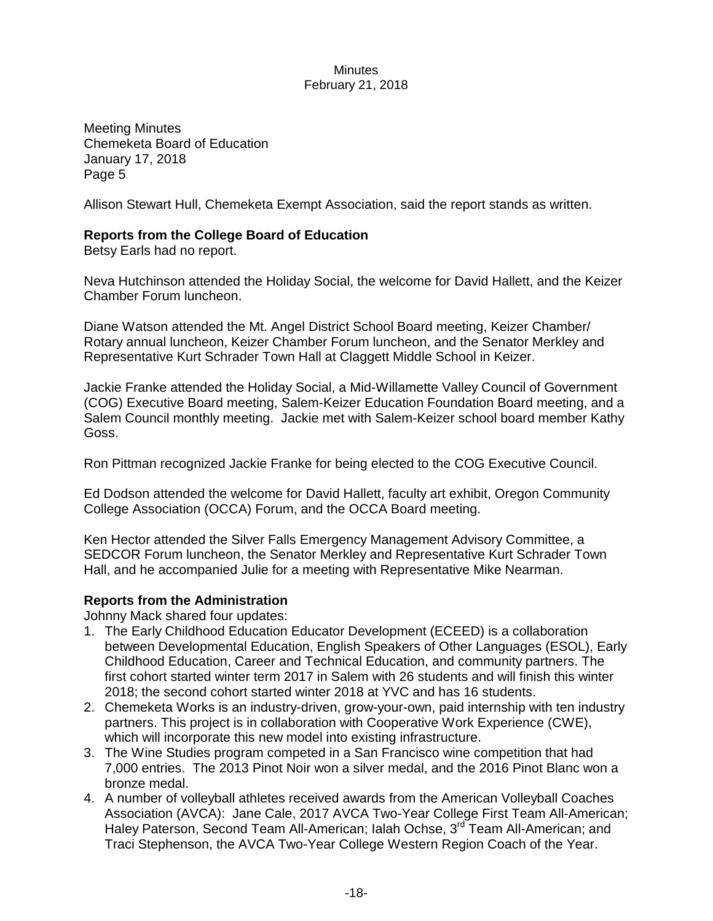Meeting Minutes Chemeketa Board of Education January 17, 2018 Page 5

Allison Stewart Hull, Chemeketa Exempt Association, said the report stands as written.

## **Reports from the College Board of Education**

Betsy Earls had no report.

Neva Hutchinson attended the Holiday Social, the welcome for David Hallett, and the Keizer Chamber Forum luncheon.

Diane Watson attended the Mt. Angel District School Board meeting, Keizer Chamber/ Rotary annual luncheon, Keizer Chamber Forum luncheon, and the Senator Merkley and Representative Kurt Schrader Town Hall at Claggett Middle School in Keizer.

Jackie Franke attended the Holiday Social, a Mid-Willamette Valley Council of Government (COG) Executive Board meeting, Salem-Keizer Education Foundation Board meeting, and a Salem Council monthly meeting. Jackie met with Salem-Keizer school board member Kathy Goss.

Ron Pittman recognized Jackie Franke for being elected to the COG Executive Council.

Ed Dodson attended the welcome for David Hallett, faculty art exhibit, Oregon Community College Association (OCCA) Forum, and the OCCA Board meeting.

Ken Hector attended the Silver Falls Emergency Management Advisory Committee, a SEDCOR Forum luncheon, the Senator Merkley and Representative Kurt Schrader Town Hall, and he accompanied Julie for a meeting with Representative Mike Nearman.

#### **Reports from the Administration**

Johnny Mack shared four updates:

- 1. The Early Childhood Education Educator Development (ECEED) is a collaboration between Developmental Education, English Speakers of Other Languages (ESOL), Early Childhood Education, Career and Technical Education, and community partners. The first cohort started winter term 2017 in Salem with 26 students and will finish this winter 2018; the second cohort started winter 2018 at YVC and has 16 students.
- 2. Chemeketa Works is an industry-driven, grow-your-own, paid internship with ten industry partners. This project is in collaboration with Cooperative Work Experience (CWE), which will incorporate this new model into existing infrastructure.
- 3. The Wine Studies program competed in a San Francisco wine competition that had 7,000 entries. The 2013 Pinot Noir won a silver medal, and the 2016 Pinot Blanc won a bronze medal.
- 4. A number of volleyball athletes received awards from the American Volleyball Coaches Association (AVCA): Jane Cale, 2017 AVCA Two-Year College First Team All-American; Haley Paterson, Second Team All-American; Ialah Ochse, 3<sup>rd</sup> Team All-American; and Traci Stephenson, the AVCA Two-Year College Western Region Coach of the Year.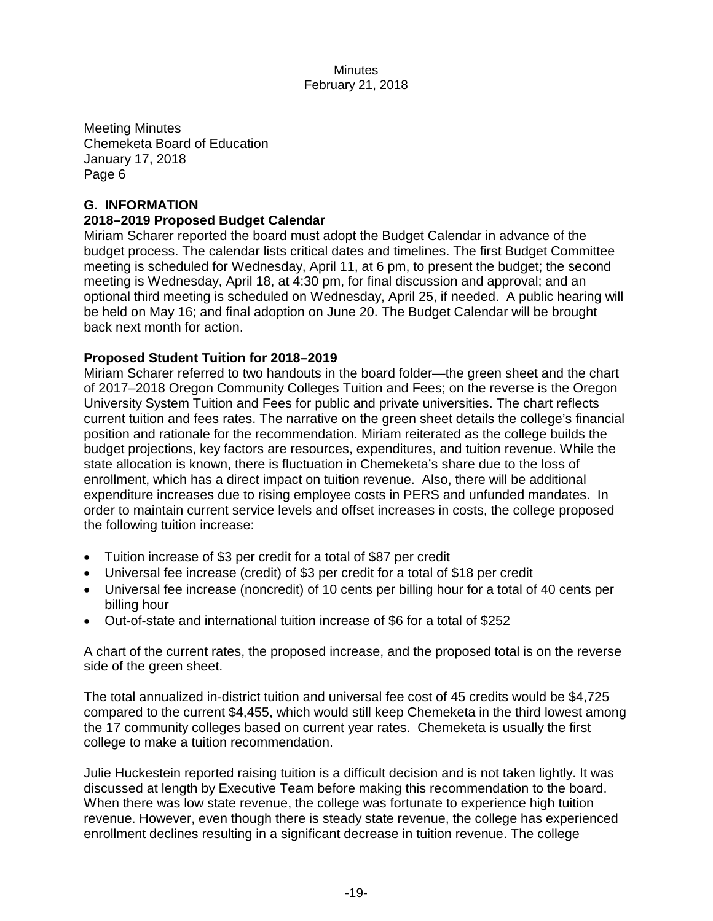Meeting Minutes Chemeketa Board of Education January 17, 2018 Page 6

## **G. INFORMATION**

#### **2018–2019 Proposed Budget Calendar**

Miriam Scharer reported the board must adopt the Budget Calendar in advance of the budget process. The calendar lists critical dates and timelines. The first Budget Committee meeting is scheduled for Wednesday, April 11, at 6 pm, to present the budget; the second meeting is Wednesday, April 18, at 4:30 pm, for final discussion and approval; and an optional third meeting is scheduled on Wednesday, April 25, if needed. A public hearing will be held on May 16; and final adoption on June 20. The Budget Calendar will be brought back next month for action.

## **Proposed Student Tuition for 2018–2019**

Miriam Scharer referred to two handouts in the board folder—the green sheet and the chart of 2017–2018 Oregon Community Colleges Tuition and Fees; on the reverse is the Oregon University System Tuition and Fees for public and private universities. The chart reflects current tuition and fees rates. The narrative on the green sheet details the college's financial position and rationale for the recommendation. Miriam reiterated as the college builds the budget projections, key factors are resources, expenditures, and tuition revenue. While the state allocation is known, there is fluctuation in Chemeketa's share due to the loss of enrollment, which has a direct impact on tuition revenue. Also, there will be additional expenditure increases due to rising employee costs in PERS and unfunded mandates. In order to maintain current service levels and offset increases in costs, the college proposed the following tuition increase:

- Tuition increase of \$3 per credit for a total of \$87 per credit
- Universal fee increase (credit) of \$3 per credit for a total of \$18 per credit
- Universal fee increase (noncredit) of 10 cents per billing hour for a total of 40 cents per billing hour
- Out-of-state and international tuition increase of \$6 for a total of \$252

A chart of the current rates, the proposed increase, and the proposed total is on the reverse side of the green sheet.

The total annualized in-district tuition and universal fee cost of 45 credits would be \$4,725 compared to the current \$4,455, which would still keep Chemeketa in the third lowest among the 17 community colleges based on current year rates. Chemeketa is usually the first college to make a tuition recommendation.

Julie Huckestein reported raising tuition is a difficult decision and is not taken lightly. It was discussed at length by Executive Team before making this recommendation to the board. When there was low state revenue, the college was fortunate to experience high tuition revenue. However, even though there is steady state revenue, the college has experienced enrollment declines resulting in a significant decrease in tuition revenue. The college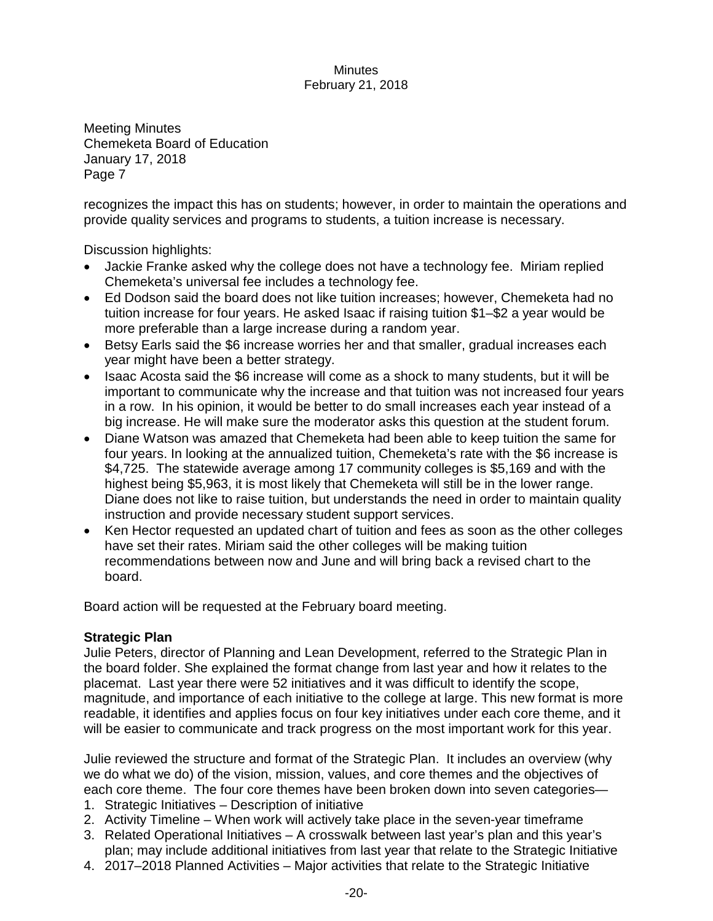Meeting Minutes Chemeketa Board of Education January 17, 2018 Page 7

recognizes the impact this has on students; however, in order to maintain the operations and provide quality services and programs to students, a tuition increase is necessary.

Discussion highlights:

- Jackie Franke asked why the college does not have a technology fee. Miriam replied Chemeketa's universal fee includes a technology fee.
- Ed Dodson said the board does not like tuition increases; however, Chemeketa had no tuition increase for four years. He asked Isaac if raising tuition \$1–\$2 a year would be more preferable than a large increase during a random year.
- Betsy Earls said the \$6 increase worries her and that smaller, gradual increases each year might have been a better strategy.
- Isaac Acosta said the \$6 increase will come as a shock to many students, but it will be important to communicate why the increase and that tuition was not increased four years in a row. In his opinion, it would be better to do small increases each year instead of a big increase. He will make sure the moderator asks this question at the student forum.
- Diane Watson was amazed that Chemeketa had been able to keep tuition the same for four years. In looking at the annualized tuition, Chemeketa's rate with the \$6 increase is \$4,725. The statewide average among 17 community colleges is \$5,169 and with the highest being \$5,963, it is most likely that Chemeketa will still be in the lower range. Diane does not like to raise tuition, but understands the need in order to maintain quality instruction and provide necessary student support services.
- Ken Hector requested an updated chart of tuition and fees as soon as the other colleges have set their rates. Miriam said the other colleges will be making tuition recommendations between now and June and will bring back a revised chart to the board.

Board action will be requested at the February board meeting.

# **Strategic Plan**

Julie Peters, director of Planning and Lean Development, referred to the Strategic Plan in the board folder. She explained the format change from last year and how it relates to the placemat. Last year there were 52 initiatives and it was difficult to identify the scope, magnitude, and importance of each initiative to the college at large. This new format is more readable, it identifies and applies focus on four key initiatives under each core theme, and it will be easier to communicate and track progress on the most important work for this year.

Julie reviewed the structure and format of the Strategic Plan. It includes an overview (why we do what we do) of the vision, mission, values, and core themes and the objectives of each core theme. The four core themes have been broken down into seven categories— 1. Strategic Initiatives – Description of initiative

- 2. Activity Timeline When work will actively take place in the seven-year timeframe
- 3. Related Operational Initiatives A crosswalk between last year's plan and this year's plan; may include additional initiatives from last year that relate to the Strategic Initiative
- 4. 2017–2018 Planned Activities Major activities that relate to the Strategic Initiative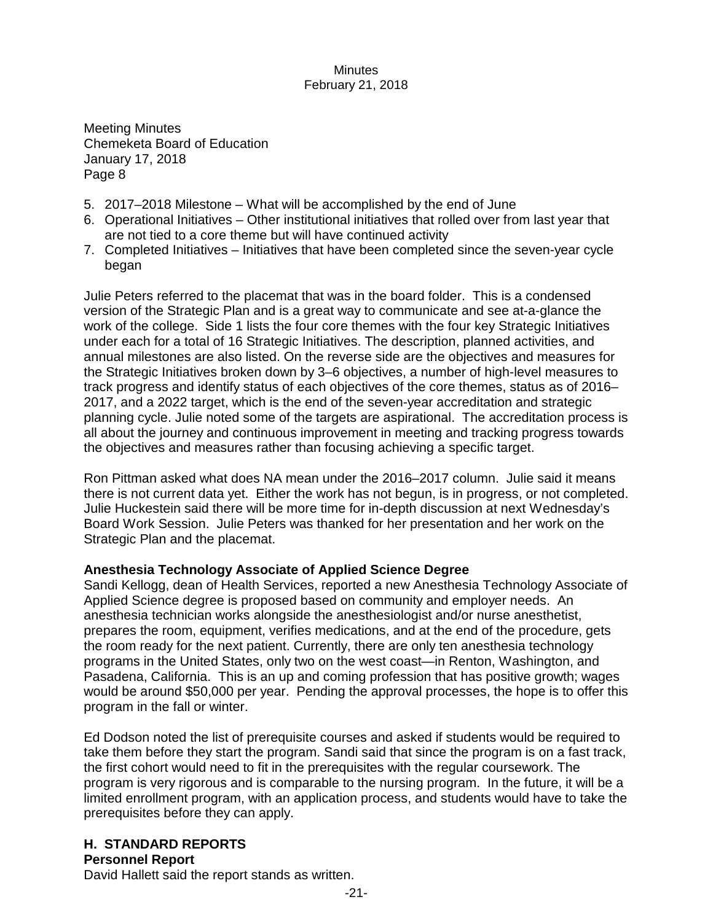Meeting Minutes Chemeketa Board of Education January 17, 2018 Page 8

- 5. 2017–2018 Milestone What will be accomplished by the end of June
- 6. Operational Initiatives Other institutional initiatives that rolled over from last year that are not tied to a core theme but will have continued activity
- 7. Completed Initiatives Initiatives that have been completed since the seven-year cycle began

Julie Peters referred to the placemat that was in the board folder. This is a condensed version of the Strategic Plan and is a great way to communicate and see at-a-glance the work of the college. Side 1 lists the four core themes with the four key Strategic Initiatives under each for a total of 16 Strategic Initiatives. The description, planned activities, and annual milestones are also listed. On the reverse side are the objectives and measures for the Strategic Initiatives broken down by 3–6 objectives, a number of high-level measures to track progress and identify status of each objectives of the core themes, status as of 2016– 2017, and a 2022 target, which is the end of the seven-year accreditation and strategic planning cycle. Julie noted some of the targets are aspirational. The accreditation process is all about the journey and continuous improvement in meeting and tracking progress towards the objectives and measures rather than focusing achieving a specific target.

Ron Pittman asked what does NA mean under the 2016–2017 column. Julie said it means there is not current data yet. Either the work has not begun, is in progress, or not completed. Julie Huckestein said there will be more time for in-depth discussion at next Wednesday's Board Work Session. Julie Peters was thanked for her presentation and her work on the Strategic Plan and the placemat.

## **Anesthesia Technology Associate of Applied Science Degree**

Sandi Kellogg, dean of Health Services, reported a new Anesthesia Technology Associate of Applied Science degree is proposed based on community and employer needs. An anesthesia technician works alongside the anesthesiologist and/or nurse anesthetist, prepares the room, equipment, verifies medications, and at the end of the procedure, gets the room ready for the next patient. Currently, there are only ten anesthesia technology programs in the United States, only two on the west coast—in Renton, Washington, and Pasadena, California. This is an up and coming profession that has positive growth; wages would be around \$50,000 per year. Pending the approval processes, the hope is to offer this program in the fall or winter.

Ed Dodson noted the list of prerequisite courses and asked if students would be required to take them before they start the program. Sandi said that since the program is on a fast track, the first cohort would need to fit in the prerequisites with the regular coursework. The program is very rigorous and is comparable to the nursing program. In the future, it will be a limited enrollment program, with an application process, and students would have to take the prerequisites before they can apply.

# **H. STANDARD REPORTS**

## **Personnel Report**

David Hallett said the report stands as written.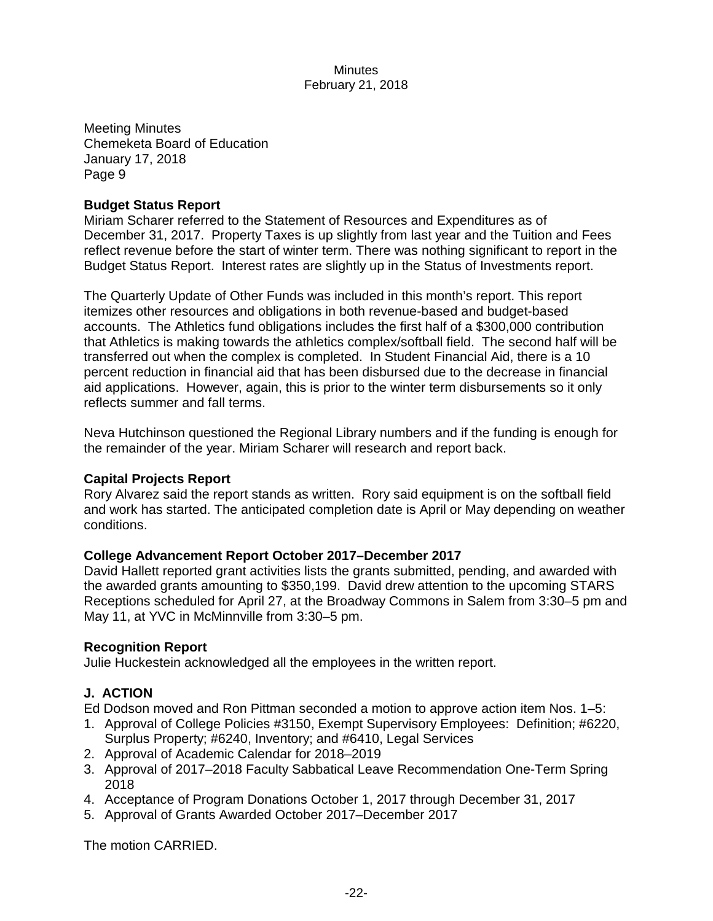Meeting Minutes Chemeketa Board of Education January 17, 2018 Page 9

#### **Budget Status Report**

Miriam Scharer referred to the Statement of Resources and Expenditures as of December 31, 2017. Property Taxes is up slightly from last year and the Tuition and Fees reflect revenue before the start of winter term. There was nothing significant to report in the Budget Status Report. Interest rates are slightly up in the Status of Investments report.

The Quarterly Update of Other Funds was included in this month's report. This report itemizes other resources and obligations in both revenue-based and budget-based accounts. The Athletics fund obligations includes the first half of a \$300,000 contribution that Athletics is making towards the athletics complex/softball field. The second half will be transferred out when the complex is completed. In Student Financial Aid, there is a 10 percent reduction in financial aid that has been disbursed due to the decrease in financial aid applications. However, again, this is prior to the winter term disbursements so it only reflects summer and fall terms.

Neva Hutchinson questioned the Regional Library numbers and if the funding is enough for the remainder of the year. Miriam Scharer will research and report back.

#### **Capital Projects Report**

Rory Alvarez said the report stands as written. Rory said equipment is on the softball field and work has started. The anticipated completion date is April or May depending on weather conditions.

## **College Advancement Report October 2017–December 2017**

David Hallett reported grant activities lists the grants submitted, pending, and awarded with the awarded grants amounting to \$350,199. David drew attention to the upcoming STARS Receptions scheduled for April 27, at the Broadway Commons in Salem from 3:30–5 pm and May 11, at YVC in McMinnville from 3:30–5 pm.

## **Recognition Report**

Julie Huckestein acknowledged all the employees in the written report.

## **J. ACTION**

Ed Dodson moved and Ron Pittman seconded a motion to approve action item Nos. 1–5:

- 1. Approval of College Policies #3150, Exempt Supervisory Employees: Definition; #6220, Surplus Property; #6240, Inventory; and #6410, Legal Services
- 2. Approval of Academic Calendar for 2018–2019
- 3. Approval of 2017–2018 Faculty Sabbatical Leave Recommendation One-Term Spring 2018
- 4. Acceptance of Program Donations October 1, 2017 through December 31, 2017
- 5. Approval of Grants Awarded October 2017–December 2017

The motion CARRIED.